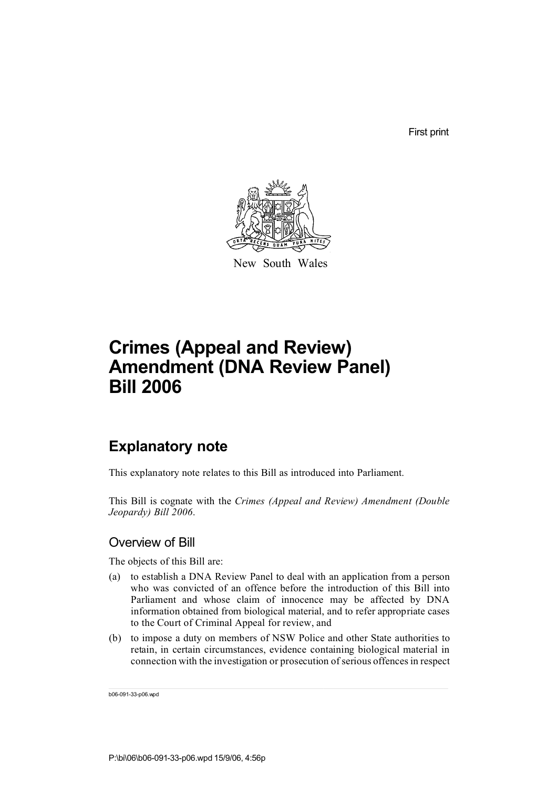First print



New South Wales

# **Crimes (Appeal and Review) Amendment (DNA Review Panel) Bill 2006**

# **Explanatory note**

This explanatory note relates to this Bill as introduced into Parliament.

This Bill is cognate with the *Crimes (Appeal and Review) Amendment (Double Jeopardy) Bill 2006*.

### Overview of Bill

The objects of this Bill are:

- (a) to establish a DNA Review Panel to deal with an application from a person who was convicted of an offence before the introduction of this Bill into Parliament and whose claim of innocence may be affected by DNA information obtained from biological material, and to refer appropriate cases to the Court of Criminal Appeal for review, and
- (b) to impose a duty on members of NSW Police and other State authorities to retain, in certain circumstances, evidence containing biological material in connection with the investigation or prosecution of serious offences in respect

b06-091-33-p06.wpd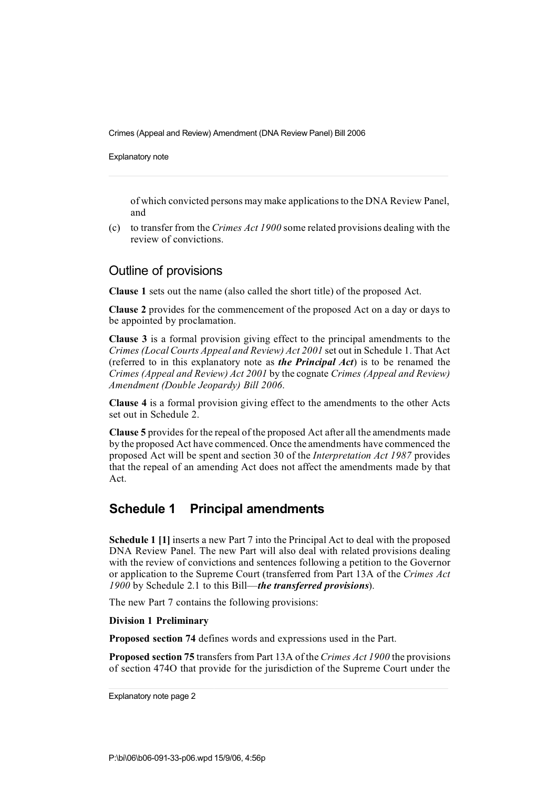Explanatory note

of which convicted persons may make applicationsto the DNA Review Panel, and

(c) to transfer from the *Crimes Act 1900* some related provisions dealing with the review of convictions.

### Outline of provisions

**Clause 1** sets out the name (also called the short title) of the proposed Act.

**Clause 2** provides for the commencement of the proposed Act on a day or days to be appointed by proclamation.

**Clause 3** is a formal provision giving effect to the principal amendments to the *Crimes (LocalCourts Appeal and Review) Act 2001* set out in Schedule 1. That Act (referred to in this explanatory note as *the Principal Act*) is to be renamed the *Crimes (Appeal and Review) Act 2001* by the cognate *Crimes (Appeal and Review) Amendment (Double Jeopardy) Bill 2006*.

**Clause 4** is a formal provision giving effect to the amendments to the other Acts set out in Schedule 2.

**Clause 5** provides for the repeal of the proposed Act after all the amendments made by the proposed Act have commenced. Once the amendments have commenced the proposed Act will be spent and section 30 of the *Interpretation Act 1987* provides that the repeal of an amending Act does not affect the amendments made by that Act.

# **Schedule 1 Principal amendments**

**Schedule 1 [1]** inserts a new Part 7 into the Principal Act to deal with the proposed DNA Review Panel. The new Part will also deal with related provisions dealing with the review of convictions and sentences following a petition to the Governor or application to the Supreme Court (transferred from Part 13A of the *Crimes Act 1900* by Schedule 2.1 to this Bill—*the transferred provisions*).

The new Part 7 contains the following provisions:

**Division 1 Preliminary**

**Proposed section 74** defines words and expressions used in the Part.

**Proposed section 75** transfers from Part 13A of the *Crimes Act 1900* the provisions of section 474O that provide for the jurisdiction of the Supreme Court under the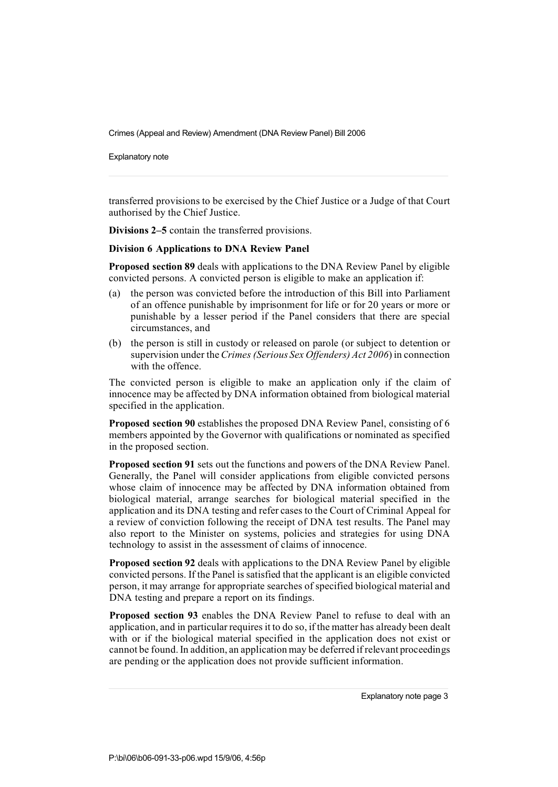Explanatory note

transferred provisions to be exercised by the Chief Justice or a Judge of that Court authorised by the Chief Justice.

**Divisions 2–5** contain the transferred provisions.

#### **Division 6 Applications to DNA Review Panel**

**Proposed section 89** deals with applications to the DNA Review Panel by eligible convicted persons. A convicted person is eligible to make an application if:

- (a) the person was convicted before the introduction of this Bill into Parliament of an offence punishable by imprisonment for life or for 20 years or more or punishable by a lesser period if the Panel considers that there are special circumstances, and
- (b) the person is still in custody or released on parole (or subject to detention or supervision under the*Crimes (Serious Sex Offenders) Act 2006*) in connection with the offence.

The convicted person is eligible to make an application only if the claim of innocence may be affected by DNA information obtained from biological material specified in the application.

**Proposed section 90** establishes the proposed DNA Review Panel, consisting of 6 members appointed by the Governor with qualifications or nominated as specified in the proposed section.

**Proposed section 91** sets out the functions and powers of the DNA Review Panel. Generally, the Panel will consider applications from eligible convicted persons whose claim of innocence may be affected by DNA information obtained from biological material, arrange searches for biological material specified in the application and its DNA testing and refer cases to the Court of Criminal Appeal for a review of conviction following the receipt of DNA test results. The Panel may also report to the Minister on systems, policies and strategies for using DNA technology to assist in the assessment of claims of innocence.

**Proposed section 92** deals with applications to the DNA Review Panel by eligible convicted persons. If the Panel is satisfied that the applicant is an eligible convicted person, it may arrange for appropriate searches of specified biological material and DNA testing and prepare a report on its findings.

**Proposed section 93** enables the DNA Review Panel to refuse to deal with an application, and in particular requires it to do so, if the matter has already been dealt with or if the biological material specified in the application does not exist or cannot be found.In addition, an application may be deferred if relevant proceedings are pending or the application does not provide sufficient information.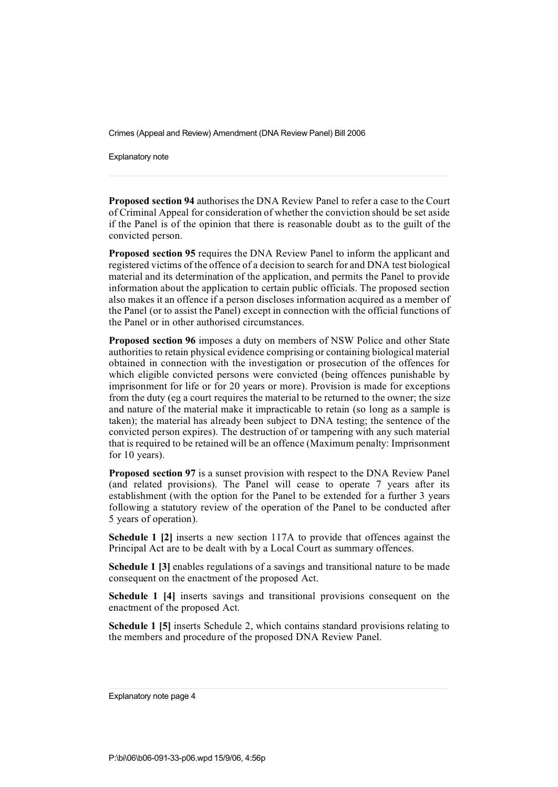Explanatory note

**Proposed section 94** authorises the DNA Review Panel to refer a case to the Court of Criminal Appeal for consideration of whether the conviction should be set aside if the Panel is of the opinion that there is reasonable doubt as to the guilt of the convicted person.

**Proposed section 95** requires the DNA Review Panel to inform the applicant and registered victims of the offence of a decision to search for and DNA test biological material and its determination of the application, and permits the Panel to provide information about the application to certain public officials. The proposed section also makes it an offence if a person discloses information acquired as a member of the Panel (or to assist the Panel) except in connection with the official functions of the Panel or in other authorised circumstances.

**Proposed section 96** imposes a duty on members of NSW Police and other State authoritiesto retain physical evidence comprising or containing biological material obtained in connection with the investigation or prosecution of the offences for which eligible convicted persons were convicted (being offences punishable by imprisonment for life or for 20 years or more). Provision is made for exceptions from the duty (eg a court requires the material to be returned to the owner; the size and nature of the material make it impracticable to retain (so long as a sample is taken); the material has already been subject to DNA testing; the sentence of the convicted person expires). The destruction of or tampering with any such material that is required to be retained will be an offence (Maximum penalty: Imprisonment for 10 years).

**Proposed section 97** is a sunset provision with respect to the DNA Review Panel (and related provisions). The Panel will cease to operate 7 years after its establishment (with the option for the Panel to be extended for a further 3 years following a statutory review of the operation of the Panel to be conducted after 5 years of operation).

**Schedule 1 [2]** inserts a new section 117A to provide that offences against the Principal Act are to be dealt with by a Local Court as summary offences.

**Schedule 1 [3]** enables regulations of a savings and transitional nature to be made consequent on the enactment of the proposed Act.

**Schedule 1 [4]** inserts savings and transitional provisions consequent on the enactment of the proposed Act.

**Schedule 1 [5]** inserts Schedule 2, which contains standard provisions relating to the members and procedure of the proposed DNA Review Panel.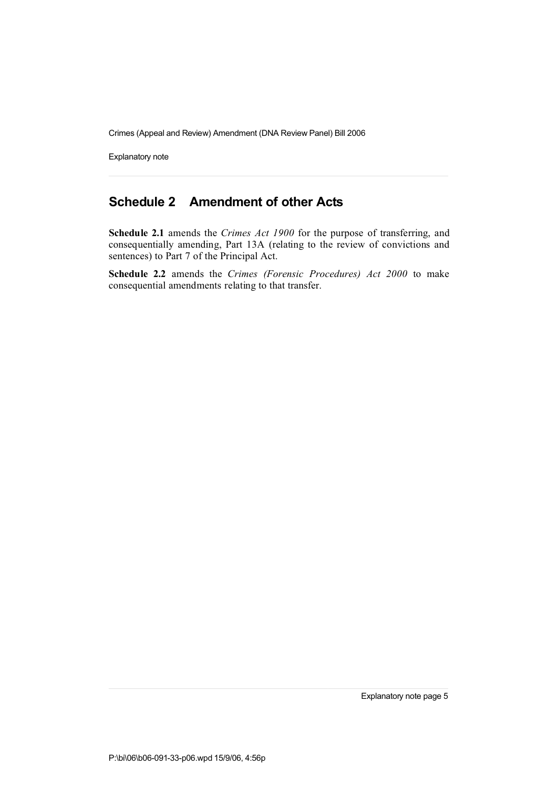Explanatory note

# **Schedule 2 Amendment of other Acts**

**Schedule 2.1** amends the *Crimes Act 1900* for the purpose of transferring, and consequentially amending, Part 13A (relating to the review of convictions and sentences) to Part 7 of the Principal Act.

**Schedule 2.2** amends the *Crimes (Forensic Procedures) Act 2000* to make consequential amendments relating to that transfer.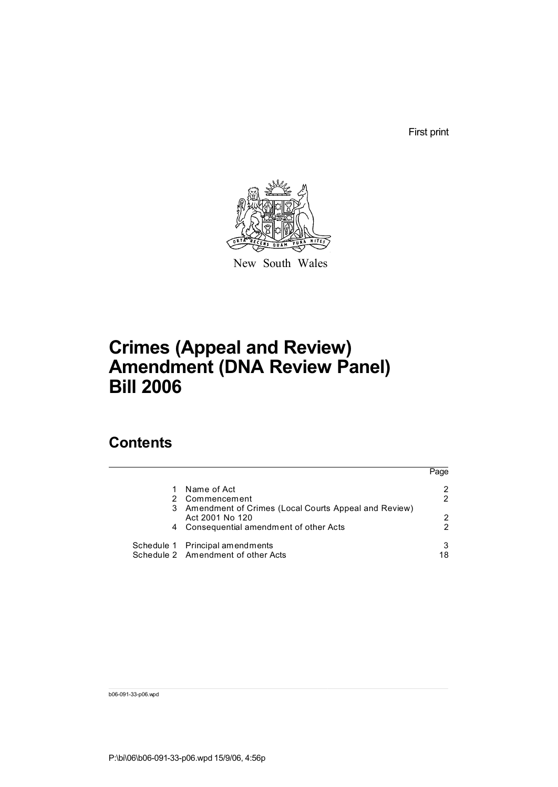First print



New South Wales

# **Crimes (Appeal and Review) Amendment (DNA Review Panel) Bill 2006**

# **Contents**

|                                                        | Page |
|--------------------------------------------------------|------|
| Name of Act                                            | 2    |
| 2 Commencement                                         | 2    |
| 3 Amendment of Crimes (Local Courts Appeal and Review) |      |
| Act 2001 No 120                                        | 2    |
| 4 Consequential amendment of other Acts                | 2    |
| Schedule 1 Principal amendments                        | 3    |
| Schedule 2 Amendment of other Acts                     | 18   |

b06-091-33-p06.wpd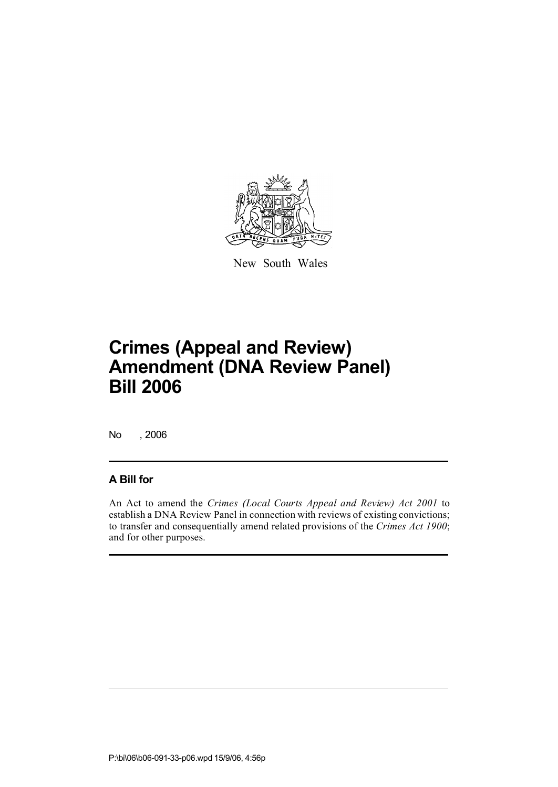

New South Wales

No , 2006

## **A Bill for**

An Act to amend the *Crimes (Local Courts Appeal and Review) Act 2001* to establish a DNA Review Panel in connection with reviews of existing convictions; to transfer and consequentially amend related provisions of the *Crimes Act 1900*; and for other purposes.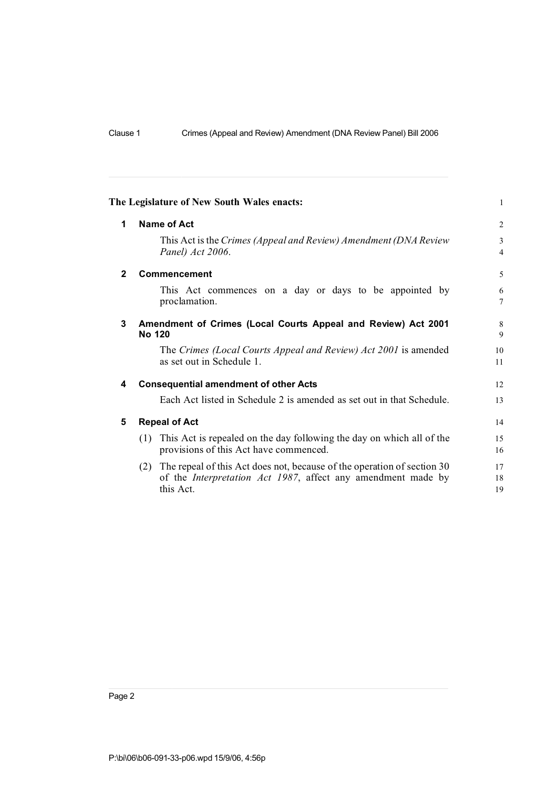|                | The Legislature of New South Wales enacts:                                                                                                                  | $\mathbf{1}$        |  |  |  |  |  |
|----------------|-------------------------------------------------------------------------------------------------------------------------------------------------------------|---------------------|--|--|--|--|--|
| 1              | Name of Act                                                                                                                                                 |                     |  |  |  |  |  |
|                | This Act is the Crimes (Appeal and Review) Amendment (DNA Review<br>Panel) Act 2006.                                                                        | 3<br>$\overline{4}$ |  |  |  |  |  |
| $\overline{2}$ | Commencement                                                                                                                                                | 5                   |  |  |  |  |  |
|                | This Act commences on a day or days to be appointed by<br>proclamation.                                                                                     | 6<br>7              |  |  |  |  |  |
| 3              | Amendment of Crimes (Local Courts Appeal and Review) Act 2001<br>No 120                                                                                     |                     |  |  |  |  |  |
|                | The Crimes (Local Courts Appeal and Review) Act 2001 is amended<br>as set out in Schedule 1.                                                                | 10<br>11            |  |  |  |  |  |
| 4              | <b>Consequential amendment of other Acts</b>                                                                                                                | 12                  |  |  |  |  |  |
|                | Each Act listed in Schedule 2 is amended as set out in that Schedule.                                                                                       | 13                  |  |  |  |  |  |
| 5              | <b>Repeal of Act</b>                                                                                                                                        | 14                  |  |  |  |  |  |
|                | This Act is repealed on the day following the day on which all of the<br>(1)<br>provisions of this Act have commenced.                                      | 15<br>16            |  |  |  |  |  |
|                | The repeal of this Act does not, because of the operation of section 30<br>(2)<br>of the Interpretation Act 1987, affect any amendment made by<br>this Act. | 17<br>18<br>19      |  |  |  |  |  |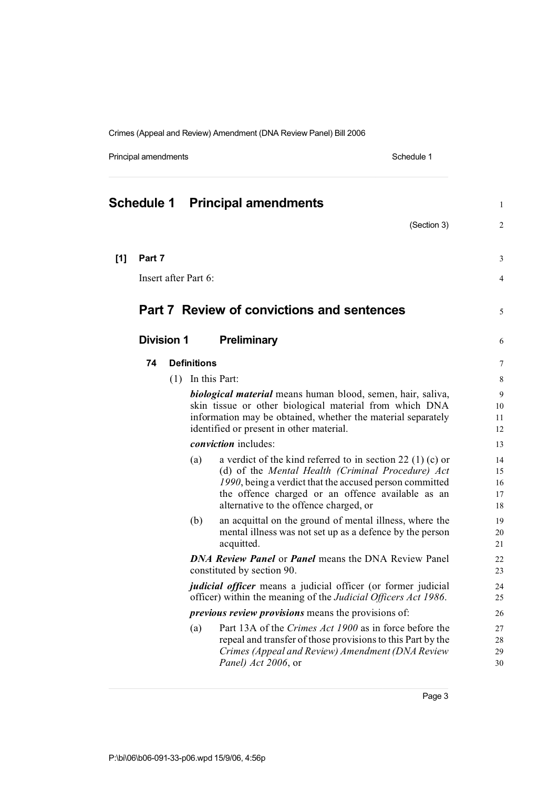Principal amendments **Schedule 1** and the set of the set of the Schedule 1

|       |                   |     |                      | <b>Schedule 1 Principal amendments</b>                                                                                                                                                                                                                                    | $\mathbf{1}$               |
|-------|-------------------|-----|----------------------|---------------------------------------------------------------------------------------------------------------------------------------------------------------------------------------------------------------------------------------------------------------------------|----------------------------|
|       |                   |     |                      | (Section 3)                                                                                                                                                                                                                                                               | 2                          |
| $[1]$ | Part 7            |     |                      |                                                                                                                                                                                                                                                                           | 3                          |
|       |                   |     | Insert after Part 6: |                                                                                                                                                                                                                                                                           | 4                          |
|       |                   |     |                      | <b>Part 7 Review of convictions and sentences</b>                                                                                                                                                                                                                         | 5                          |
|       | <b>Division 1</b> |     |                      | <b>Preliminary</b>                                                                                                                                                                                                                                                        | 6                          |
|       | 74                |     | <b>Definitions</b>   |                                                                                                                                                                                                                                                                           | 7                          |
|       |                   | (1) |                      | In this Part:                                                                                                                                                                                                                                                             | 8                          |
|       |                   |     |                      | <b>biological material</b> means human blood, semen, hair, saliva,<br>skin tissue or other biological material from which DNA                                                                                                                                             | 9<br>10                    |
|       |                   |     |                      | information may be obtained, whether the material separately<br>identified or present in other material.                                                                                                                                                                  | 11<br>12                   |
|       |                   |     |                      | <i>conviction</i> includes:                                                                                                                                                                                                                                               | 13                         |
|       |                   |     | (a)                  | a verdict of the kind referred to in section 22 (1) (c) or<br>(d) of the Mental Health (Criminal Procedure) Act<br>1990, being a verdict that the accused person committed<br>the offence charged or an offence available as an<br>alternative to the offence charged, or | 14<br>15<br>16<br>17<br>18 |
|       |                   |     | (b)                  | an acquittal on the ground of mental illness, where the<br>mental illness was not set up as a defence by the person<br>acquitted.                                                                                                                                         | 19<br>20<br>21             |
|       |                   |     |                      | <b>DNA Review Panel or Panel means the DNA Review Panel</b><br>constituted by section 90.                                                                                                                                                                                 | 22<br>23                   |
|       |                   |     |                      | <i>judicial officer</i> means a judicial officer (or former judicial<br>officer) within the meaning of the <i>Judicial Officers Act 1986</i> .                                                                                                                            | 24<br>25                   |
|       |                   |     |                      | <i>previous review provisions</i> means the provisions of:                                                                                                                                                                                                                | 26                         |
|       |                   |     | (a)                  | Part 13A of the Crimes Act 1900 as in force before the<br>repeal and transfer of those provisions to this Part by the<br>Crimes (Appeal and Review) Amendment (DNA Review<br>Panel) Act 2006, or                                                                          | 27<br>28<br>29<br>30       |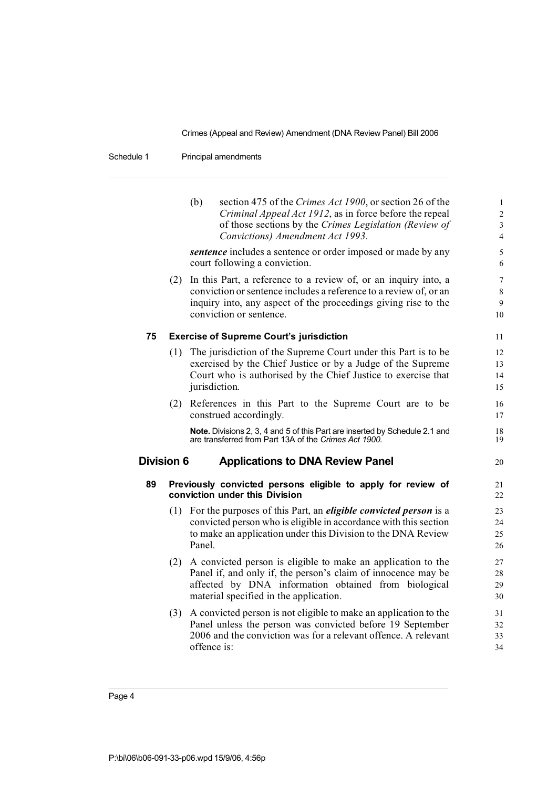### Schedule 1 Principal amendments

|                   |     | (b)<br>section 475 of the Crimes Act 1900, or section 26 of the<br>Criminal Appeal Act 1912, as in force before the repeal<br>of those sections by the Crimes Legislation (Review of<br>Convictions) Amendment Act 1993.            | $\mathbf{1}$<br>$\overline{c}$<br>$\overline{\mathbf{3}}$<br>4 |
|-------------------|-----|-------------------------------------------------------------------------------------------------------------------------------------------------------------------------------------------------------------------------------------|----------------------------------------------------------------|
|                   |     | <i>sentence</i> includes a sentence or order imposed or made by any<br>court following a conviction.                                                                                                                                | 5<br>6                                                         |
|                   | (2) | In this Part, a reference to a review of, or an inquiry into, a<br>conviction or sentence includes a reference to a review of, or an<br>inquiry into, any aspect of the proceedings giving rise to the<br>conviction or sentence.   | $\overline{7}$<br>8<br>9<br>10                                 |
| 75                |     | <b>Exercise of Supreme Court's jurisdiction</b>                                                                                                                                                                                     | 11                                                             |
|                   | (1) | The jurisdiction of the Supreme Court under this Part is to be<br>exercised by the Chief Justice or by a Judge of the Supreme<br>Court who is authorised by the Chief Justice to exercise that<br>jurisdiction.                     | 12<br>13<br>14<br>15                                           |
|                   | (2) | References in this Part to the Supreme Court are to be<br>construed accordingly.                                                                                                                                                    | 16<br>17                                                       |
|                   |     | Note. Divisions 2, 3, 4 and 5 of this Part are inserted by Schedule 2.1 and<br>are transferred from Part 13A of the Crimes Act 1900.                                                                                                | 18<br>19                                                       |
| <b>Division 6</b> |     | <b>Applications to DNA Review Panel</b>                                                                                                                                                                                             | 20                                                             |
| 89                |     | Previously convicted persons eligible to apply for review of<br>conviction under this Division                                                                                                                                      | 21<br>22                                                       |
|                   |     | (1) For the purposes of this Part, an <i>eligible convicted person</i> is a<br>convicted person who is eligible in accordance with this section<br>to make an application under this Division to the DNA Review<br>Panel.           | 23<br>24<br>25<br>26                                           |
|                   |     | (2) A convicted person is eligible to make an application to the<br>Panel if, and only if, the person's claim of innocence may be<br>affected by DNA information obtained from biological<br>material specified in the application. | 27<br>28<br>29<br>30                                           |
|                   |     | (3) A convicted person is not eligible to make an application to the<br>Panel unless the person was convicted before 19 September<br>2006 and the conviction was for a relevant offence. A relevant<br>offence is:                  | 31<br>32<br>33<br>34                                           |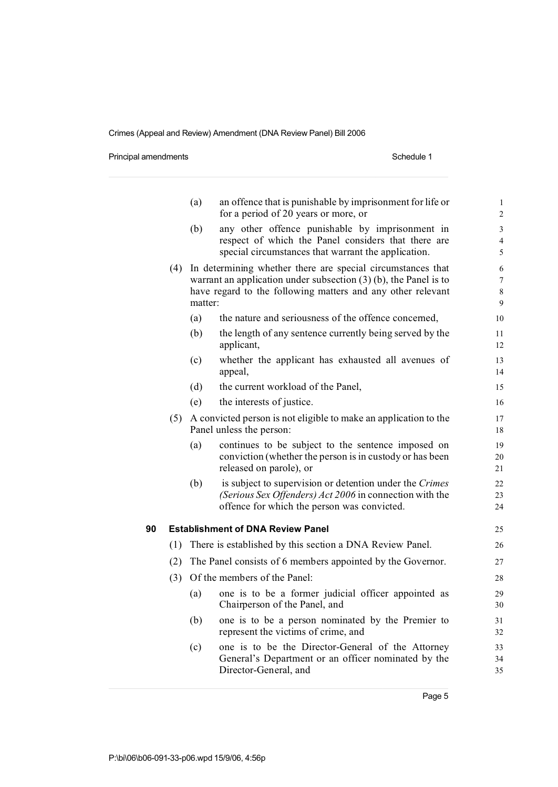Principal amendments **Schedule 1** Schedule 1

|    |     | (a)     | an offence that is punishable by imprisonment for life or<br>for a period of 20 years or more, or                                                                 | $\mathbf{1}$<br>$\overline{c}$ |
|----|-----|---------|-------------------------------------------------------------------------------------------------------------------------------------------------------------------|--------------------------------|
|    |     | (b)     | any other offence punishable by imprisonment in                                                                                                                   | 3                              |
|    |     |         | respect of which the Panel considers that there are                                                                                                               | 4                              |
|    |     |         | special circumstances that warrant the application.                                                                                                               | 5                              |
|    | (4) |         | In determining whether there are special circumstances that<br>warrant an application under subsection $(3)$ (b), the Panel is to                                 | 6                              |
|    |     |         | have regard to the following matters and any other relevant                                                                                                       | $\overline{7}$<br>8            |
|    |     | matter: |                                                                                                                                                                   | 9                              |
|    |     | (a)     | the nature and seriousness of the offence concerned,                                                                                                              | 10                             |
|    |     | (b)     | the length of any sentence currently being served by the<br>applicant,                                                                                            | 11<br>12                       |
|    |     | (c)     | whether the applicant has exhausted all avenues of<br>appeal,                                                                                                     | 13<br>14                       |
|    |     | (d)     | the current workload of the Panel,                                                                                                                                | 15                             |
|    |     | (e)     | the interests of justice.                                                                                                                                         | 16                             |
|    | (5) |         | A convicted person is not eligible to make an application to the<br>Panel unless the person:                                                                      | 17<br>18                       |
|    |     | (a)     | continues to be subject to the sentence imposed on<br>conviction (whether the person is in custody or has been<br>released on parole), or                         | 19<br>20<br>21                 |
|    |     | (b)     | is subject to supervision or detention under the Crimes<br>(Serious Sex Offenders) Act 2006 in connection with the<br>offence for which the person was convicted. | 22<br>23<br>24                 |
| 90 |     |         | <b>Establishment of DNA Review Panel</b>                                                                                                                          | 25                             |
|    | (1) |         | There is established by this section a DNA Review Panel.                                                                                                          | 26                             |
|    | (2) |         | The Panel consists of 6 members appointed by the Governor.                                                                                                        | 27                             |
|    | (3) |         | Of the members of the Panel:                                                                                                                                      | 28                             |
|    |     | (a)     | one is to be a former judicial officer appointed as<br>Chairperson of the Panel, and                                                                              | 29<br>30                       |
|    |     | (b)     | one is to be a person nominated by the Premier to<br>represent the victims of crime, and                                                                          | 31<br>32                       |
|    |     | (c)     | one is to be the Director-General of the Attorney<br>General's Department or an officer nominated by the<br>Director-General, and                                 | 33<br>34<br>35                 |
|    |     |         |                                                                                                                                                                   |                                |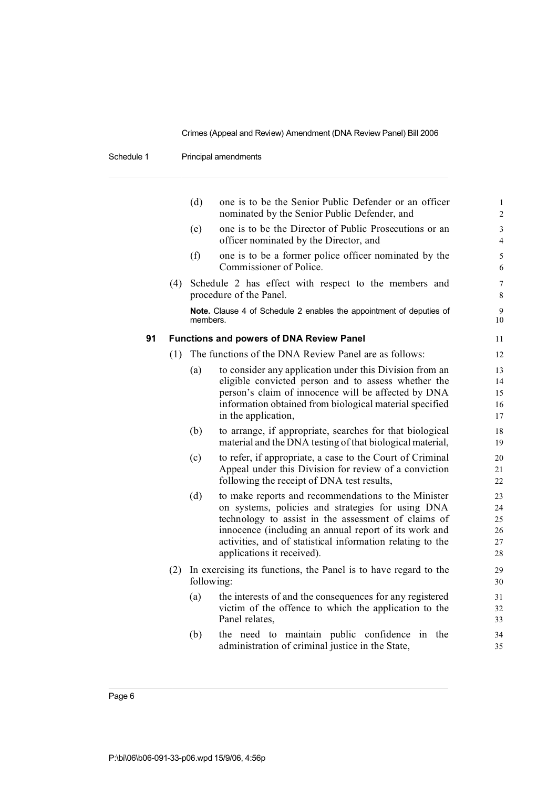Schedule 1 Principal amendments

|    |     | (d)        | one is to be the Senior Public Defender or an officer<br>nominated by the Senior Public Defender, and                                                                                                                                                                                                                | $\mathbf{1}$<br>$\overline{c}$   |
|----|-----|------------|----------------------------------------------------------------------------------------------------------------------------------------------------------------------------------------------------------------------------------------------------------------------------------------------------------------------|----------------------------------|
|    |     | (e)        | one is to be the Director of Public Prosecutions or an<br>officer nominated by the Director, and                                                                                                                                                                                                                     | 3<br>$\overline{4}$              |
|    |     | (f)        | one is to be a former police officer nominated by the<br>Commissioner of Police.                                                                                                                                                                                                                                     | 5<br>6                           |
|    | (4) |            | Schedule 2 has effect with respect to the members and<br>procedure of the Panel.                                                                                                                                                                                                                                     | $\overline{7}$<br>8              |
|    |     | members.   | Note. Clause 4 of Schedule 2 enables the appointment of deputies of                                                                                                                                                                                                                                                  | 9<br>10                          |
| 91 |     |            | <b>Functions and powers of DNA Review Panel</b>                                                                                                                                                                                                                                                                      | 11                               |
|    | (1) |            | The functions of the DNA Review Panel are as follows:                                                                                                                                                                                                                                                                | 12                               |
|    |     | (a)        | to consider any application under this Division from an<br>eligible convicted person and to assess whether the<br>person's claim of innocence will be affected by DNA<br>information obtained from biological material specified<br>in the application,                                                              | 13<br>14<br>15<br>16<br>17       |
|    |     | (b)        | to arrange, if appropriate, searches for that biological<br>material and the DNA testing of that biological material,                                                                                                                                                                                                | 18<br>19                         |
|    |     | (c)        | to refer, if appropriate, a case to the Court of Criminal<br>Appeal under this Division for review of a conviction<br>following the receipt of DNA test results,                                                                                                                                                     | 20<br>21<br>22                   |
|    |     | (d)        | to make reports and recommendations to the Minister<br>on systems, policies and strategies for using DNA<br>technology to assist in the assessment of claims of<br>innocence (including an annual report of its work and<br>activities, and of statistical information relating to the<br>applications it received). | 23<br>24<br>25<br>26<br>27<br>28 |
|    | (2) | following: | In exercising its functions, the Panel is to have regard to the                                                                                                                                                                                                                                                      | 29<br>30                         |
|    |     | (a)        | the interests of and the consequences for any registered<br>victim of the offence to which the application to the<br>Panel relates,                                                                                                                                                                                  | 31<br>32<br>33                   |
|    |     | (b)        | the need to maintain public confidence<br>in the<br>administration of criminal justice in the State,                                                                                                                                                                                                                 | 34<br>35                         |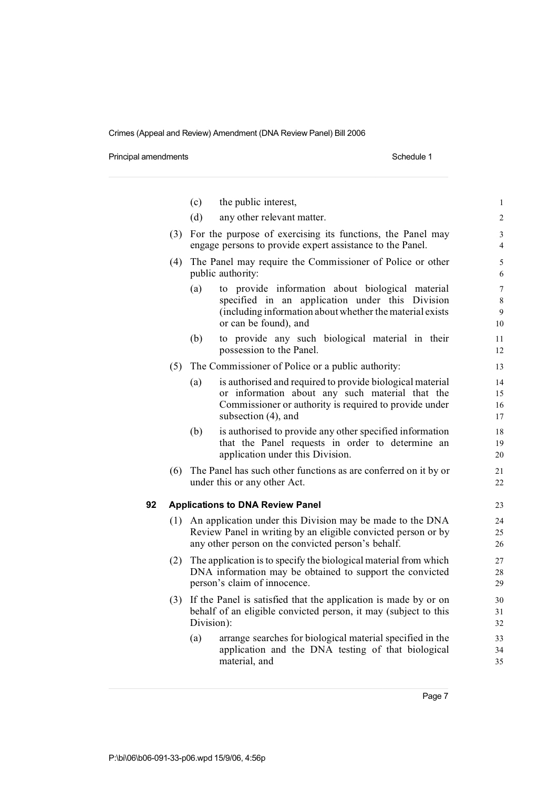Principal amendments **Schedule 1** and the set of the set of the Schedule 1

|    |     | (c)        | the public interest,                                                                                                                                                                          | $\mathbf{1}$                   |
|----|-----|------------|-----------------------------------------------------------------------------------------------------------------------------------------------------------------------------------------------|--------------------------------|
|    |     | (d)        | any other relevant matter.                                                                                                                                                                    | $\overline{c}$                 |
|    | (3) |            | For the purpose of exercising its functions, the Panel may<br>engage persons to provide expert assistance to the Panel.                                                                       | 3<br>$\overline{4}$            |
|    | (4) |            | The Panel may require the Commissioner of Police or other<br>public authority:                                                                                                                | 5<br>6                         |
|    |     | (a)        | to provide information about biological material<br>specified in an application under this Division<br>(including information about whether the material exists<br>or can be found), and      | $\overline{7}$<br>8<br>9<br>10 |
|    |     | (b)        | to provide any such biological material in their<br>possession to the Panel.                                                                                                                  | 11<br>12                       |
|    | (5) |            | The Commissioner of Police or a public authority:                                                                                                                                             | 13                             |
|    |     | (a)        | is authorised and required to provide biological material<br>or information about any such material that the<br>Commissioner or authority is required to provide under<br>subsection (4), and | 14<br>15<br>16<br>17           |
|    |     | (b)        | is authorised to provide any other specified information<br>that the Panel requests in order to determine an<br>application under this Division.                                              | 18<br>19<br>20                 |
|    | (6) |            | The Panel has such other functions as are conferred on it by or<br>under this or any other Act.                                                                                               | 21<br>22                       |
| 92 |     |            | <b>Applications to DNA Review Panel</b>                                                                                                                                                       | 23                             |
|    | (1) |            | An application under this Division may be made to the DNA<br>Review Panel in writing by an eligible convicted person or by<br>any other person on the convicted person's behalf.              | 24<br>25<br>26                 |
|    | (2) |            | The application is to specify the biological material from which<br>DNA information may be obtained to support the convicted<br>person's claim of innocence.                                  | 27<br>28<br>29                 |
|    | (3) | Division): | If the Panel is satisfied that the application is made by or on<br>behalf of an eligible convicted person, it may (subject to this                                                            | 30<br>31<br>32                 |
|    |     | (a)        | arrange searches for biological material specified in the<br>application and the DNA testing of that biological<br>material, and                                                              | 33<br>34<br>35                 |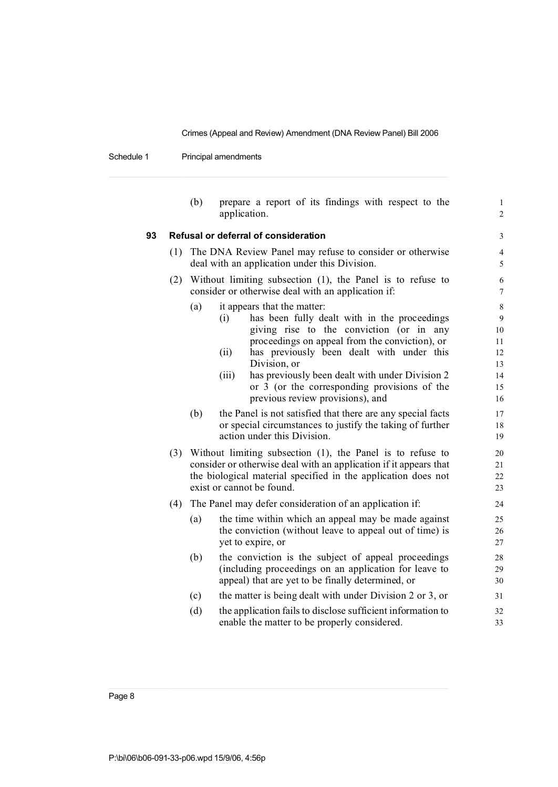Schedule 1 Principal amendments

|    |     | (b)                                                                                                              | prepare a report of its findings with respect to the<br>application.                                                                                                                                                                                                                                                                                                                                                                                                                                                              | $\mathbf 1$<br>$\overline{c}$                                          |  |  |  |  |
|----|-----|------------------------------------------------------------------------------------------------------------------|-----------------------------------------------------------------------------------------------------------------------------------------------------------------------------------------------------------------------------------------------------------------------------------------------------------------------------------------------------------------------------------------------------------------------------------------------------------------------------------------------------------------------------------|------------------------------------------------------------------------|--|--|--|--|
| 93 |     |                                                                                                                  | Refusal or deferral of consideration                                                                                                                                                                                                                                                                                                                                                                                                                                                                                              | $\mathfrak{Z}$                                                         |  |  |  |  |
|    | (1) | The DNA Review Panel may refuse to consider or otherwise<br>deal with an application under this Division.        |                                                                                                                                                                                                                                                                                                                                                                                                                                                                                                                                   |                                                                        |  |  |  |  |
|    | (2) | Without limiting subsection (1), the Panel is to refuse to<br>consider or otherwise deal with an application if: |                                                                                                                                                                                                                                                                                                                                                                                                                                                                                                                                   |                                                                        |  |  |  |  |
|    |     | (a)<br>(b)                                                                                                       | it appears that the matter:<br>has been fully dealt with in the proceedings<br>(i)<br>giving rise to the conviction (or in any<br>proceedings on appeal from the conviction), or<br>has previously been dealt with under this<br>(ii)<br>Division, or<br>has previously been dealt with under Division 2<br>(iii)<br>or 3 (or the corresponding provisions of the<br>previous review provisions), and<br>the Panel is not satisfied that there are any special facts<br>or special circumstances to justify the taking of further | $\,$ 8 $\,$<br>9<br>10<br>11<br>12<br>13<br>14<br>15<br>16<br>17<br>18 |  |  |  |  |
|    | (3) |                                                                                                                  | action under this Division.<br>Without limiting subsection $(1)$ , the Panel is to refuse to<br>consider or otherwise deal with an application if it appears that<br>the biological material specified in the application does not<br>exist or cannot be found.                                                                                                                                                                                                                                                                   | 19<br>20<br>21<br>22<br>23                                             |  |  |  |  |
|    | (4) |                                                                                                                  | The Panel may defer consideration of an application if:                                                                                                                                                                                                                                                                                                                                                                                                                                                                           | 24                                                                     |  |  |  |  |
|    |     | (a)                                                                                                              | the time within which an appeal may be made against<br>the conviction (without leave to appeal out of time) is<br>yet to expire, or                                                                                                                                                                                                                                                                                                                                                                                               | 25<br>26<br>27                                                         |  |  |  |  |
|    |     | (b)                                                                                                              | the conviction is the subject of appeal proceedings<br>(including proceedings on an application for leave to<br>appeal) that are yet to be finally determined, or                                                                                                                                                                                                                                                                                                                                                                 | 28<br>29<br>30                                                         |  |  |  |  |
|    |     | (c)                                                                                                              | the matter is being dealt with under Division 2 or 3, or                                                                                                                                                                                                                                                                                                                                                                                                                                                                          | 31                                                                     |  |  |  |  |
|    |     | (d)                                                                                                              | the application fails to disclose sufficient information to<br>enable the matter to be properly considered.                                                                                                                                                                                                                                                                                                                                                                                                                       | 32<br>33                                                               |  |  |  |  |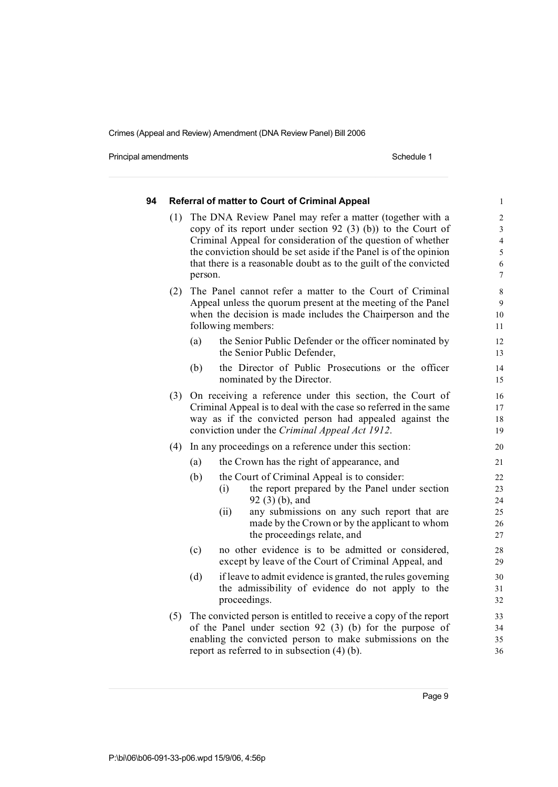Principal amendments **Schedule 1** and the set of the set of the Schedule 1

| 94 |     | <b>Referral of matter to Court of Criminal Appeal</b>                                                                                                                                                                                                                                                                                           | $\mathbf{1}$                                                                              |
|----|-----|-------------------------------------------------------------------------------------------------------------------------------------------------------------------------------------------------------------------------------------------------------------------------------------------------------------------------------------------------|-------------------------------------------------------------------------------------------|
|    | (1) | The DNA Review Panel may refer a matter (together with a<br>copy of its report under section 92 $(3)$ (b)) to the Court of<br>Criminal Appeal for consideration of the question of whether<br>the conviction should be set aside if the Panel is of the opinion<br>that there is a reasonable doubt as to the guilt of the convicted<br>person. | $\overline{c}$<br>$\overline{\mathbf{3}}$<br>$\overline{4}$<br>5<br>6<br>$\boldsymbol{7}$ |
|    | (2) | The Panel cannot refer a matter to the Court of Criminal<br>Appeal unless the quorum present at the meeting of the Panel<br>when the decision is made includes the Chairperson and the<br>following members:                                                                                                                                    | 8<br>9<br>10<br>11                                                                        |
|    |     | the Senior Public Defender or the officer nominated by<br>(a)<br>the Senior Public Defender,                                                                                                                                                                                                                                                    | 12<br>13                                                                                  |
|    |     | the Director of Public Prosecutions or the officer<br>(b)<br>nominated by the Director.                                                                                                                                                                                                                                                         | 14<br>15                                                                                  |
|    | (3) | On receiving a reference under this section, the Court of<br>Criminal Appeal is to deal with the case so referred in the same<br>way as if the convicted person had appealed against the<br>conviction under the Criminal Appeal Act 1912.                                                                                                      | 16<br>17<br>18<br>19                                                                      |
|    | (4) | In any proceedings on a reference under this section:                                                                                                                                                                                                                                                                                           | 20                                                                                        |
|    |     | (a)<br>the Crown has the right of appearance, and                                                                                                                                                                                                                                                                                               | 21                                                                                        |
|    |     | (b)<br>the Court of Criminal Appeal is to consider:<br>the report prepared by the Panel under section<br>(i)<br>$92(3)(b)$ , and<br>(ii)<br>any submissions on any such report that are<br>made by the Crown or by the applicant to whom<br>the proceedings relate, and                                                                         | 22<br>23<br>24<br>25<br>26<br>27                                                          |
|    |     | (c)<br>no other evidence is to be admitted or considered,<br>except by leave of the Court of Criminal Appeal, and                                                                                                                                                                                                                               | 28<br>29                                                                                  |
|    |     | (d)<br>if leave to admit evidence is granted, the rules governing<br>the admissibility of evidence do not apply to the<br>proceedings.                                                                                                                                                                                                          | 30<br>31<br>32                                                                            |
|    | (5) | The convicted person is entitled to receive a copy of the report<br>of the Panel under section 92 (3) (b) for the purpose of<br>enabling the convicted person to make submissions on the<br>report as referred to in subsection $(4)$ (b).                                                                                                      | 33<br>34<br>35<br>36                                                                      |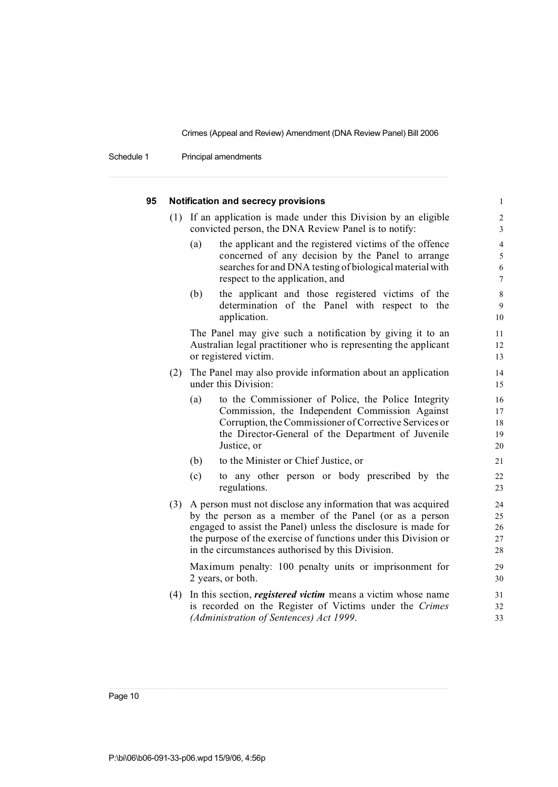Schedule 1 Principal amendments

|     | Notification and secrecy provisions                                                                                                                                                                                                                                                                              | $\mathbf{1}$                       |
|-----|------------------------------------------------------------------------------------------------------------------------------------------------------------------------------------------------------------------------------------------------------------------------------------------------------------------|------------------------------------|
|     | (1) If an application is made under this Division by an eligible<br>convicted person, the DNA Review Panel is to notify:                                                                                                                                                                                         | $\overline{2}$<br>3                |
|     | (a)<br>the applicant and the registered victims of the offence<br>concerned of any decision by the Panel to arrange<br>searches for and DNA testing of biological material with<br>respect to the application, and                                                                                               | $\overline{4}$<br>5<br>6<br>$\tau$ |
|     | (b)<br>the applicant and those registered victims of the<br>determination of the Panel with respect to the<br>application.                                                                                                                                                                                       | 8<br>9<br>10                       |
|     | The Panel may give such a notification by giving it to an<br>Australian legal practitioner who is representing the applicant<br>or registered victim.                                                                                                                                                            | 11<br>12<br>13                     |
| (2) | The Panel may also provide information about an application<br>under this Division:                                                                                                                                                                                                                              | 14<br>15                           |
|     | to the Commissioner of Police, the Police Integrity<br>(a)<br>Commission, the Independent Commission Against<br>Corruption, the Commissioner of Corrective Services or<br>the Director-General of the Department of Juvenile<br>Justice, or                                                                      | 16<br>17<br>18<br>19<br>20         |
|     | to the Minister or Chief Justice, or<br>(b)                                                                                                                                                                                                                                                                      | 21                                 |
|     | (c)<br>to any other person or body prescribed by the<br>regulations.                                                                                                                                                                                                                                             | 22<br>23                           |
| (3) | A person must not disclose any information that was acquired<br>by the person as a member of the Panel (or as a person<br>engaged to assist the Panel) unless the disclosure is made for<br>the purpose of the exercise of functions under this Division or<br>in the circumstances authorised by this Division. | 24<br>25<br>26<br>27<br>28         |
|     | Maximum penalty: 100 penalty units or imprisonment for<br>2 years, or both.                                                                                                                                                                                                                                      | 29<br>30                           |
| (4) | In this section, <i>registered victim</i> means a victim whose name<br>is recorded on the Register of Victims under the Crimes<br>(Administration of Sentences) Act 1999.                                                                                                                                        | 31<br>32<br>33                     |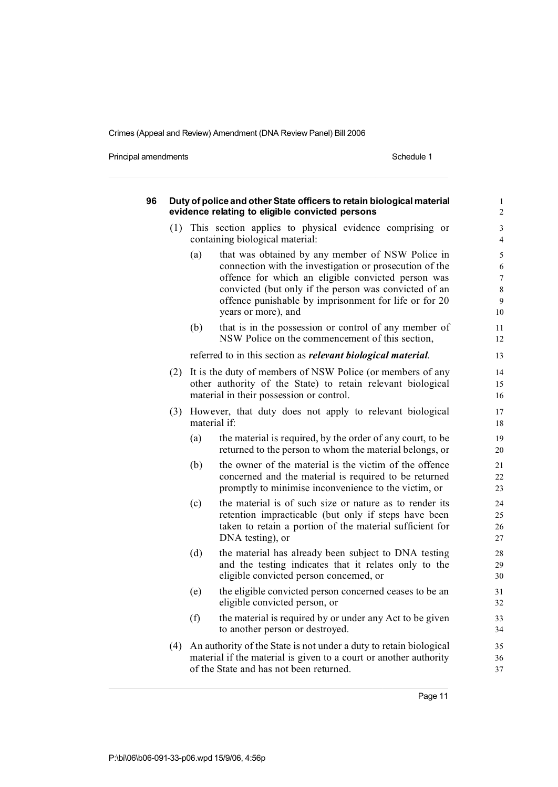Principal amendments **Schedule 1** Schedule 1

| 96 | Duty of police and other State officers to retain biological material<br>evidence relating to eligible convicted persons |     |                                                                                                                                                                                                                                                                                                            |                                          |  |  |  |
|----|--------------------------------------------------------------------------------------------------------------------------|-----|------------------------------------------------------------------------------------------------------------------------------------------------------------------------------------------------------------------------------------------------------------------------------------------------------------|------------------------------------------|--|--|--|
|    | (1)                                                                                                                      |     | This section applies to physical evidence comprising or<br>containing biological material:                                                                                                                                                                                                                 | 3<br>$\overline{4}$                      |  |  |  |
|    |                                                                                                                          | (a) | that was obtained by any member of NSW Police in<br>connection with the investigation or prosecution of the<br>offence for which an eligible convicted person was<br>convicted (but only if the person was convicted of an<br>offence punishable by imprisonment for life or for 20<br>years or more), and | 5<br>6<br>$\overline{7}$<br>8<br>9<br>10 |  |  |  |
|    |                                                                                                                          | (b) | that is in the possession or control of any member of<br>NSW Police on the commencement of this section,                                                                                                                                                                                                   | 11<br>12                                 |  |  |  |
|    |                                                                                                                          |     | referred to in this section as <i>relevant biological material</i> .                                                                                                                                                                                                                                       | 13                                       |  |  |  |
|    | (2)                                                                                                                      |     | It is the duty of members of NSW Police (or members of any<br>other authority of the State) to retain relevant biological<br>material in their possession or control.                                                                                                                                      | 14<br>15<br>16                           |  |  |  |
|    | (3)                                                                                                                      |     | However, that duty does not apply to relevant biological<br>material if:                                                                                                                                                                                                                                   | 17<br>18                                 |  |  |  |
|    |                                                                                                                          | (a) | the material is required, by the order of any court, to be<br>returned to the person to whom the material belongs, or                                                                                                                                                                                      | 19<br>20                                 |  |  |  |
|    |                                                                                                                          | (b) | the owner of the material is the victim of the offence<br>concerned and the material is required to be returned<br>promptly to minimise inconvenience to the victim, or                                                                                                                                    | 21<br>22<br>23                           |  |  |  |
|    |                                                                                                                          | (c) | the material is of such size or nature as to render its<br>retention impracticable (but only if steps have been<br>taken to retain a portion of the material sufficient for<br>DNA testing), or                                                                                                            | 24<br>25<br>26<br>27                     |  |  |  |
|    |                                                                                                                          | (d) | the material has already been subject to DNA testing<br>and the testing indicates that it relates only to the<br>eligible convicted person concerned, or                                                                                                                                                   | 28<br>29<br>30                           |  |  |  |
|    |                                                                                                                          | (e) | the eligible convicted person concerned ceases to be an<br>eligible convicted person, or                                                                                                                                                                                                                   | 31<br>32                                 |  |  |  |
|    |                                                                                                                          | (f) | the material is required by or under any Act to be given<br>to another person or destroyed.                                                                                                                                                                                                                | 33<br>34                                 |  |  |  |
|    | (4)                                                                                                                      |     | An authority of the State is not under a duty to retain biological<br>material if the material is given to a court or another authority<br>of the State and has not been returned.                                                                                                                         | 35<br>36<br>37                           |  |  |  |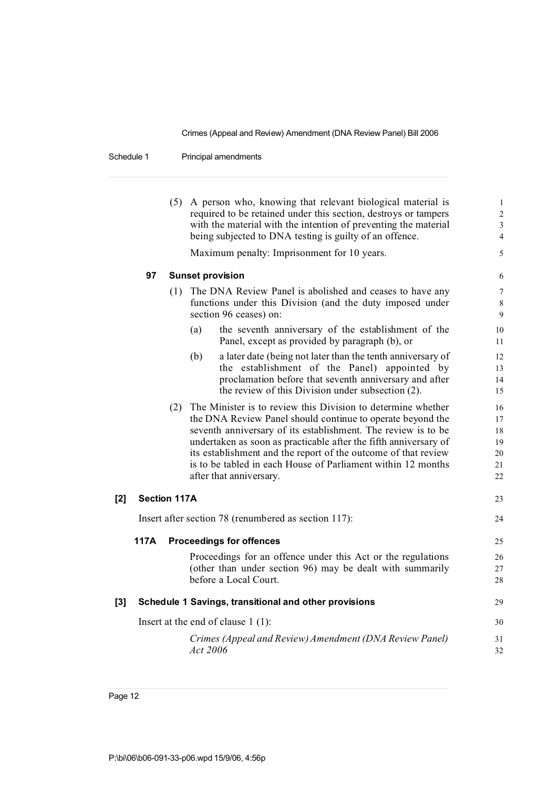Schedule 1 Principal amendments

|       |                     | (5) A person who, knowing that relevant biological material is<br>required to be retained under this section, destroys or tampers<br>with the material with the intention of preventing the material<br>being subjected to DNA testing is guilty of an offence.                                                                                                                                                                  | 1<br>2<br>3<br>4                       |
|-------|---------------------|----------------------------------------------------------------------------------------------------------------------------------------------------------------------------------------------------------------------------------------------------------------------------------------------------------------------------------------------------------------------------------------------------------------------------------|----------------------------------------|
|       |                     | Maximum penalty: Imprisonment for 10 years.                                                                                                                                                                                                                                                                                                                                                                                      | 5                                      |
|       | 97                  | <b>Sunset provision</b>                                                                                                                                                                                                                                                                                                                                                                                                          | 6                                      |
|       |                     | (1) The DNA Review Panel is abolished and ceases to have any<br>functions under this Division (and the duty imposed under<br>section 96 ceases) on:                                                                                                                                                                                                                                                                              | 7<br>8<br>9                            |
|       |                     | the seventh anniversary of the establishment of the<br>(a)<br>Panel, except as provided by paragraph (b), or                                                                                                                                                                                                                                                                                                                     | 10<br>11                               |
|       |                     | a later date (being not later than the tenth anniversary of<br>(b)<br>the establishment of the Panel) appointed by<br>proclamation before that seventh anniversary and after<br>the review of this Division under subsection (2).                                                                                                                                                                                                | 12<br>13<br>14<br>15                   |
|       |                     | (2) The Minister is to review this Division to determine whether<br>the DNA Review Panel should continue to operate beyond the<br>seventh anniversary of its establishment. The review is to be<br>undertaken as soon as practicable after the fifth anniversary of<br>its establishment and the report of the outcome of that review<br>is to be tabled in each House of Parliament within 12 months<br>after that anniversary. | 16<br>17<br>18<br>19<br>20<br>21<br>22 |
| [2]   | <b>Section 117A</b> |                                                                                                                                                                                                                                                                                                                                                                                                                                  | 23                                     |
|       |                     | Insert after section 78 (renumbered as section 117):                                                                                                                                                                                                                                                                                                                                                                             | 24                                     |
|       | 117A                | <b>Proceedings for offences</b>                                                                                                                                                                                                                                                                                                                                                                                                  | 25                                     |
|       |                     | Proceedings for an offence under this Act or the regulations<br>(other than under section 96) may be dealt with summarily<br>before a Local Court.                                                                                                                                                                                                                                                                               | 26<br>27<br>28                         |
| $[3]$ |                     | Schedule 1 Savings, transitional and other provisions                                                                                                                                                                                                                                                                                                                                                                            | 29                                     |
|       |                     | Insert at the end of clause $1(1)$ :                                                                                                                                                                                                                                                                                                                                                                                             | 30                                     |
|       |                     | Crimes (Appeal and Review) Amendment (DNA Review Panel)<br>Act 2006                                                                                                                                                                                                                                                                                                                                                              | 31<br>32                               |
|       |                     |                                                                                                                                                                                                                                                                                                                                                                                                                                  |                                        |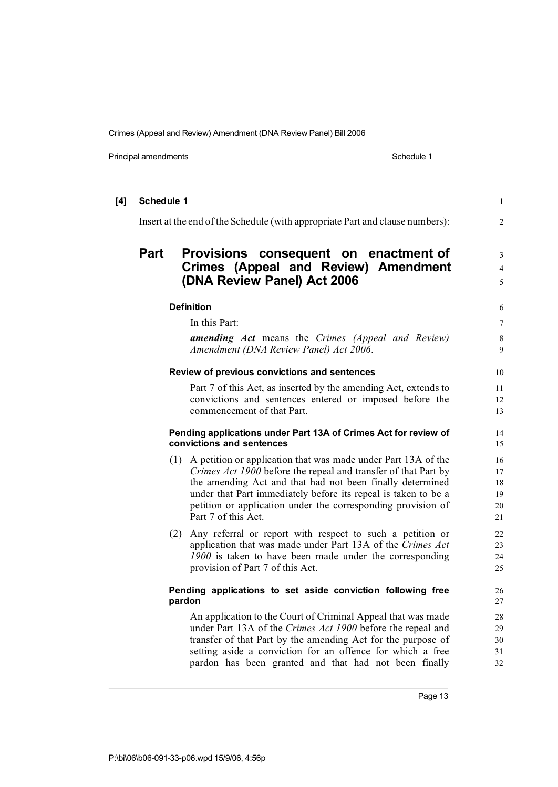Principal amendments **Schedule 1** Schedule 1

| [4] | Schedule 1 |                                                                                                                                                                                                                                                                                                                                                           | $\mathbf{1}$                     |
|-----|------------|-----------------------------------------------------------------------------------------------------------------------------------------------------------------------------------------------------------------------------------------------------------------------------------------------------------------------------------------------------------|----------------------------------|
|     |            | Insert at the end of the Schedule (with appropriate Part and clause numbers):                                                                                                                                                                                                                                                                             | $\overline{c}$                   |
|     | Part       | Provisions consequent on enactment of<br><b>Crimes (Appeal and Review) Amendment</b><br>(DNA Review Panel) Act 2006                                                                                                                                                                                                                                       | 3<br>$\overline{4}$<br>5         |
|     |            | <b>Definition</b>                                                                                                                                                                                                                                                                                                                                         | 6                                |
|     |            | In this Part:                                                                                                                                                                                                                                                                                                                                             | 7                                |
|     |            | <b>amending Act</b> means the Crimes (Appeal and Review)<br>Amendment (DNA Review Panel) Act 2006.                                                                                                                                                                                                                                                        | 8<br>9                           |
|     |            | Review of previous convictions and sentences                                                                                                                                                                                                                                                                                                              | 10                               |
|     |            | Part 7 of this Act, as inserted by the amending Act, extends to<br>convictions and sentences entered or imposed before the<br>commencement of that Part.                                                                                                                                                                                                  | 11<br>12<br>13                   |
|     |            | Pending applications under Part 13A of Crimes Act for review of<br>convictions and sentences                                                                                                                                                                                                                                                              | 14<br>15                         |
|     |            | (1) A petition or application that was made under Part 13A of the<br>Crimes Act 1900 before the repeal and transfer of that Part by<br>the amending Act and that had not been finally determined<br>under that Part immediately before its repeal is taken to be a<br>petition or application under the corresponding provision of<br>Part 7 of this Act. | 16<br>17<br>18<br>19<br>20<br>21 |
|     |            | (2) Any referral or report with respect to such a petition or<br>application that was made under Part 13A of the Crimes Act<br>1900 is taken to have been made under the corresponding<br>provision of Part 7 of this Act.                                                                                                                                | 22<br>23<br>24<br>25             |
|     |            | Pending applications to set aside conviction following free<br>pardon                                                                                                                                                                                                                                                                                     | 26<br>27                         |
|     |            | An application to the Court of Criminal Appeal that was made<br>under Part 13A of the Crimes Act 1900 before the repeal and<br>transfer of that Part by the amending Act for the purpose of<br>setting aside a conviction for an offence for which a free<br>pardon has been granted and that had not been finally                                        | 28<br>29<br>30<br>31<br>32       |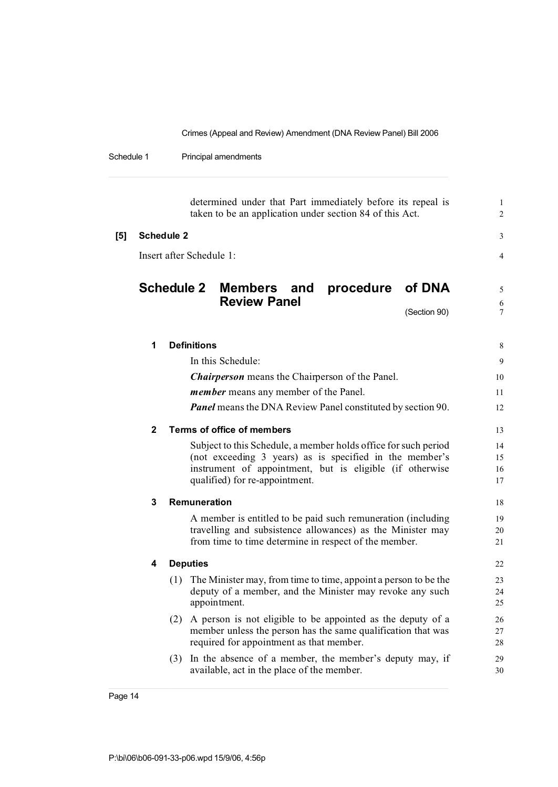Schedule 1 Principal amendments

determined under that Part immediately before its repeal is 1 taken to be an application under section 84 of this Act. 2 **[5] Schedule 2** 3 Insert after Schedule 1: 4 **Schedule 2 Members and procedure of DNA** <sup>5</sup> **Review Panel** 6<br>
(Section 90)

(Section 90)

| 1            | <b>Definitions</b>                                                                                                                                                                                                       | 8                    |
|--------------|--------------------------------------------------------------------------------------------------------------------------------------------------------------------------------------------------------------------------|----------------------|
|              | In this Schedule:                                                                                                                                                                                                        | 9                    |
|              | <b>Chairperson</b> means the Chairperson of the Panel.                                                                                                                                                                   | 10                   |
|              | <i>member</i> means any member of the Panel.                                                                                                                                                                             | 11                   |
|              | <b>Panel</b> means the DNA Review Panel constituted by section 90.                                                                                                                                                       | 12                   |
| $\mathbf{2}$ | Terms of office of members                                                                                                                                                                                               | 13                   |
|              | Subject to this Schedule, a member holds office for such period<br>(not exceeding 3 years) as is specified in the member's<br>instrument of appointment, but is eligible (if otherwise<br>qualified) for re-appointment. | 14<br>15<br>16<br>17 |
| 3            | Remuneration                                                                                                                                                                                                             | 18                   |
|              | A member is entitled to be paid such remuneration (including<br>travelling and subsistence allowances) as the Minister may<br>from time to time determine in respect of the member.                                      | 19<br>20<br>21       |
| 4            | <b>Deputies</b>                                                                                                                                                                                                          | 22                   |
|              | (1) The Minister may, from time to time, appoint a person to be the<br>deputy of a member, and the Minister may revoke any such<br>appointment.                                                                          | 23<br>24<br>25       |
|              | A person is not eligible to be appointed as the deputy of a<br>(2)<br>member unless the person has the same qualification that was<br>required for appointment as that member.                                           | 26<br>27<br>28       |
|              | In the absence of a member, the member's deputy may, if<br>(3)<br>available, act in the place of the member.                                                                                                             | 29<br>30             |
|              |                                                                                                                                                                                                                          |                      |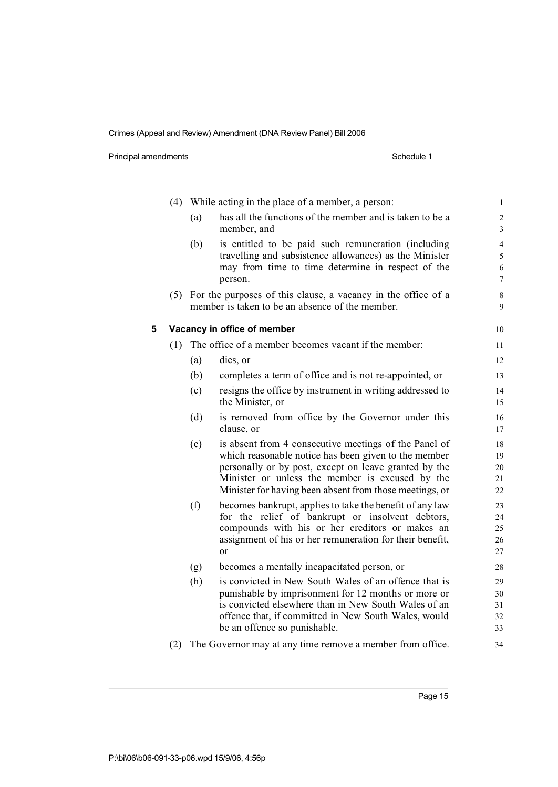Principal amendments **Schedule 1** Schedule 1

|   | (4) |     | While acting in the place of a member, a person:                                                                                                                                                                                                                                     | $\mathbf 1$                                |
|---|-----|-----|--------------------------------------------------------------------------------------------------------------------------------------------------------------------------------------------------------------------------------------------------------------------------------------|--------------------------------------------|
|   |     | (a) | has all the functions of the member and is taken to be a<br>member, and                                                                                                                                                                                                              | $\overline{c}$<br>$\overline{\mathbf{3}}$  |
|   |     | (b) | is entitled to be paid such remuneration (including<br>travelling and subsistence allowances) as the Minister<br>may from time to time determine in respect of the<br>person.                                                                                                        | $\overline{4}$<br>5<br>6<br>$\overline{7}$ |
|   |     |     | (5) For the purposes of this clause, a vacancy in the office of a<br>member is taken to be an absence of the member.                                                                                                                                                                 | 8<br>9                                     |
| 5 |     |     | Vacancy in office of member                                                                                                                                                                                                                                                          | 10                                         |
|   | (1) |     | The office of a member becomes vacant if the member:                                                                                                                                                                                                                                 | 11                                         |
|   |     | (a) | dies, or                                                                                                                                                                                                                                                                             | 12                                         |
|   |     | (b) | completes a term of office and is not re-appointed, or                                                                                                                                                                                                                               | 13                                         |
|   |     | (c) | resigns the office by instrument in writing addressed to<br>the Minister, or                                                                                                                                                                                                         | 14<br>15                                   |
|   |     | (d) | is removed from office by the Governor under this<br>clause, or                                                                                                                                                                                                                      | 16<br>17                                   |
|   |     | (e) | is absent from 4 consecutive meetings of the Panel of<br>which reasonable notice has been given to the member<br>personally or by post, except on leave granted by the<br>Minister or unless the member is excused by the<br>Minister for having been absent from those meetings, or | 18<br>19<br>20<br>21<br>22                 |
|   |     | (f) | becomes bankrupt, applies to take the benefit of any law<br>for the relief of bankrupt or insolvent debtors,<br>compounds with his or her creditors or makes an<br>assignment of his or her remuneration for their benefit,<br>or                                                    | 23<br>24<br>25<br>26<br>27                 |
|   |     | (g) | becomes a mentally incapacitated person, or                                                                                                                                                                                                                                          | 28                                         |
|   |     | (h) | is convicted in New South Wales of an offence that is<br>punishable by imprisonment for 12 months or more or<br>is convicted elsewhere than in New South Wales of an<br>offence that, if committed in New South Wales, would<br>be an offence so punishable.                         | 29<br>30<br>31<br>32<br>33                 |
|   | (2) |     | The Governor may at any time remove a member from office.                                                                                                                                                                                                                            | 34                                         |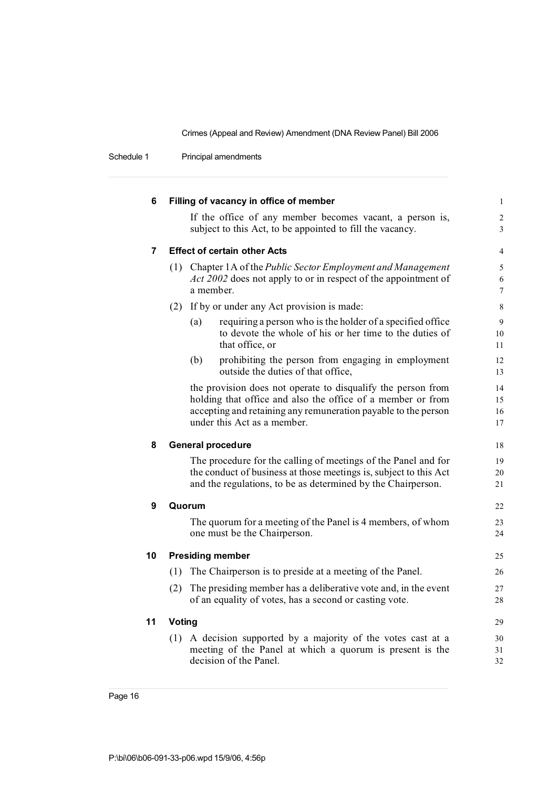Schedule 1 Principal amendments

| 6  |        | Filling of vacancy in office of member                                                                                            | $\mathbf{1}$        |
|----|--------|-----------------------------------------------------------------------------------------------------------------------------------|---------------------|
|    |        | If the office of any member becomes vacant, a person is,                                                                          | $\overline{c}$      |
|    |        | subject to this Act, to be appointed to fill the vacancy.                                                                         | 3                   |
| 7  |        | <b>Effect of certain other Acts</b>                                                                                               | $\overline{4}$      |
|    |        | (1) Chapter 1A of the Public Sector Employment and Management                                                                     | 5                   |
|    |        | Act 2002 does not apply to or in respect of the appointment of<br>a member.                                                       | 6<br>$\overline{7}$ |
|    | (2)    | If by or under any Act provision is made:                                                                                         | 8                   |
|    |        | requiring a person who is the holder of a specified office<br>(a)                                                                 | 9                   |
|    |        | to devote the whole of his or her time to the duties of<br>that office, or                                                        | 10<br>11            |
|    |        | (b)<br>prohibiting the person from engaging in employment<br>outside the duties of that office,                                   | 12<br>13            |
|    |        | the provision does not operate to disqualify the person from                                                                      | 14                  |
|    |        | holding that office and also the office of a member or from                                                                       | 15                  |
|    |        | accepting and retaining any remuneration payable to the person<br>under this Act as a member.                                     | 16<br>17            |
| 8  |        | <b>General procedure</b>                                                                                                          | 18                  |
|    |        | The procedure for the calling of meetings of the Panel and for                                                                    | 19                  |
|    |        | the conduct of business at those meetings is, subject to this Act<br>and the regulations, to be as determined by the Chairperson. | 20<br>21            |
| 9  |        | Quorum                                                                                                                            | 22                  |
|    |        | The quorum for a meeting of the Panel is 4 members, of whom                                                                       | 23                  |
|    |        | one must be the Chairperson.                                                                                                      | 24                  |
| 10 |        | <b>Presiding member</b>                                                                                                           | 25                  |
|    | (1)    | The Chairperson is to preside at a meeting of the Panel.                                                                          | 26                  |
|    | (2)    | The presiding member has a deliberative vote and, in the event                                                                    | 27                  |
|    |        | of an equality of votes, has a second or casting vote.                                                                            | 28                  |
| 11 | Voting |                                                                                                                                   | 29                  |
|    |        | (1) A decision supported by a majority of the votes cast at a                                                                     | 30                  |
|    |        | meeting of the Panel at which a quorum is present is the                                                                          | 31                  |
|    |        | decision of the Panel.                                                                                                            | 32                  |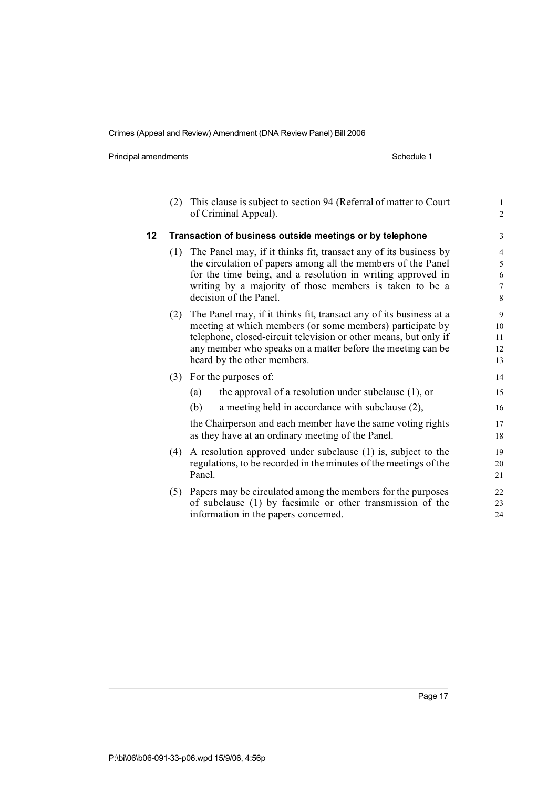Principal amendments **Schedule 1** Schedule 1

|    | (2)                                                      |                                                              | This clause is subject to section 94 (Referral of matter to Court<br>of Criminal Appeal). | $\mathbf{1}$<br>$\overline{c}$ |
|----|----------------------------------------------------------|--------------------------------------------------------------|-------------------------------------------------------------------------------------------|--------------------------------|
| 12 | Transaction of business outside meetings or by telephone |                                                              |                                                                                           | 3                              |
|    | (1)                                                      |                                                              | The Panel may, if it thinks fit, transact any of its business by                          | $\overline{\mathcal{L}}$       |
|    |                                                          |                                                              | the circulation of papers among all the members of the Panel                              | 5                              |
|    |                                                          |                                                              | for the time being, and a resolution in writing approved in                               | 6                              |
|    |                                                          |                                                              | writing by a majority of those members is taken to be a                                   | $\overline{7}$                 |
|    |                                                          |                                                              | decision of the Panel.                                                                    | 8                              |
|    | (2)                                                      |                                                              | The Panel may, if it thinks fit, transact any of its business at a                        | 9                              |
|    |                                                          |                                                              | meeting at which members (or some members) participate by                                 | 10                             |
|    |                                                          |                                                              | telephone, closed-circuit television or other means, but only if                          | 11                             |
|    |                                                          |                                                              | any member who speaks on a matter before the meeting can be                               | 12                             |
|    |                                                          |                                                              | heard by the other members.                                                               | 13                             |
|    | (3)                                                      |                                                              | For the purposes of:                                                                      | 14                             |
|    |                                                          | (a)                                                          | the approval of a resolution under subclause $(1)$ , or                                   | 15                             |
|    |                                                          | (b)                                                          | a meeting held in accordance with subclause (2),                                          | 16                             |
|    |                                                          |                                                              | the Chairperson and each member have the same voting rights                               | 17                             |
|    |                                                          |                                                              | as they have at an ordinary meeting of the Panel.                                         | 18                             |
|    | (4)                                                      | A resolution approved under subclause (1) is, subject to the |                                                                                           | 19                             |
|    |                                                          |                                                              | regulations, to be recorded in the minutes of the meetings of the                         | 20                             |
|    |                                                          | Panel.                                                       |                                                                                           | 21                             |
|    | (5)                                                      |                                                              | Papers may be circulated among the members for the purposes                               | 22                             |
|    |                                                          |                                                              | of subclause (1) by facsimile or other transmission of the                                | 23                             |
|    |                                                          |                                                              | information in the papers concerned.                                                      | 24                             |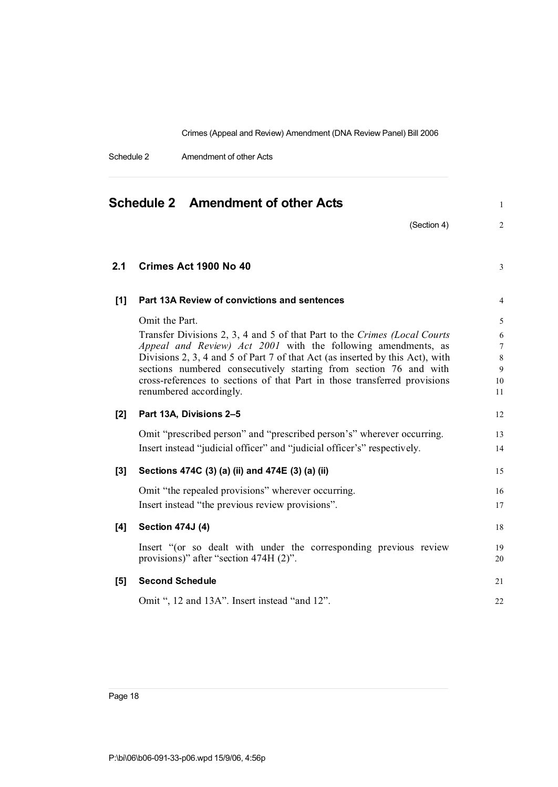Schedule 2 Amendment of other Acts

| Schedule 2 Amendment of other Acts |                                                                                                                                                                                                                                                                                                                                                                                                                            |                                                      |  |  |
|------------------------------------|----------------------------------------------------------------------------------------------------------------------------------------------------------------------------------------------------------------------------------------------------------------------------------------------------------------------------------------------------------------------------------------------------------------------------|------------------------------------------------------|--|--|
|                                    | (Section 4)                                                                                                                                                                                                                                                                                                                                                                                                                | $\overline{c}$                                       |  |  |
| 2.1                                | Crimes Act 1900 No 40                                                                                                                                                                                                                                                                                                                                                                                                      | $\mathfrak{Z}$                                       |  |  |
| $[1]$                              | Part 13A Review of convictions and sentences                                                                                                                                                                                                                                                                                                                                                                               | $\overline{4}$                                       |  |  |
|                                    | Omit the Part.<br>Transfer Divisions 2, 3, 4 and 5 of that Part to the Crimes (Local Courts<br>Appeal and Review) Act 2001 with the following amendments, as<br>Divisions 2, 3, 4 and 5 of Part 7 of that Act (as inserted by this Act), with<br>sections numbered consecutively starting from section 76 and with<br>cross-references to sections of that Part in those transferred provisions<br>renumbered accordingly. | 5<br>6<br>$\overline{7}$<br>$\,8\,$<br>9<br>10<br>11 |  |  |
| [2]                                | Part 13A, Divisions 2-5                                                                                                                                                                                                                                                                                                                                                                                                    | 12                                                   |  |  |
|                                    | Omit "prescribed person" and "prescribed person's" wherever occurring.<br>Insert instead "judicial officer" and "judicial officer's" respectively.                                                                                                                                                                                                                                                                         | 13<br>14                                             |  |  |
| $[3]$                              | Sections 474C (3) (a) (ii) and 474E (3) (a) (ii)                                                                                                                                                                                                                                                                                                                                                                           | 15                                                   |  |  |
|                                    | Omit "the repealed provisions" wherever occurring.<br>Insert instead "the previous review provisions".                                                                                                                                                                                                                                                                                                                     | 16<br>17                                             |  |  |
| [4]                                | <b>Section 474J (4)</b>                                                                                                                                                                                                                                                                                                                                                                                                    | 18                                                   |  |  |
|                                    | Insert "(or so dealt with under the corresponding previous review<br>provisions)" after "section 474H (2)".                                                                                                                                                                                                                                                                                                                | 19<br>20                                             |  |  |
| [5]                                | <b>Second Schedule</b>                                                                                                                                                                                                                                                                                                                                                                                                     | 21                                                   |  |  |
|                                    | Omit ", 12 and 13A". Insert instead "and 12".                                                                                                                                                                                                                                                                                                                                                                              | 22                                                   |  |  |